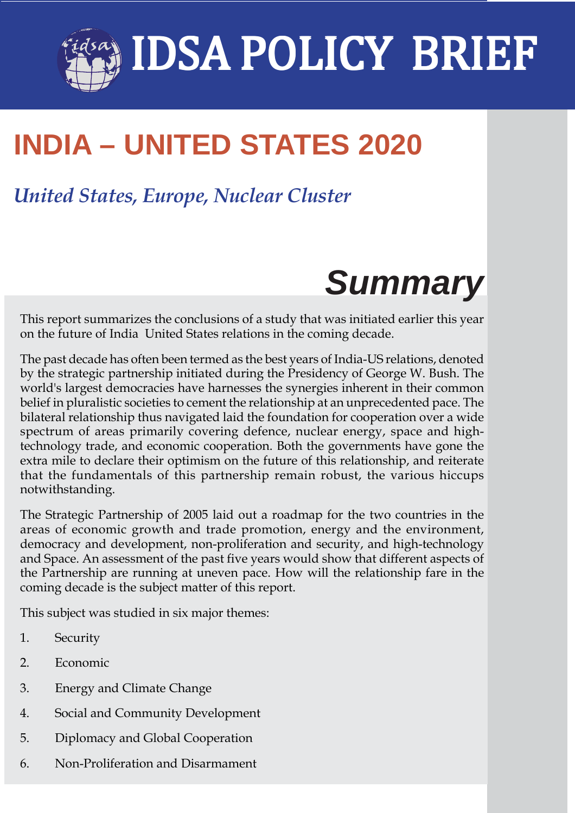# IDSA Policy Brief **1** IDSA POLICY BRIEF

# **INDIA – UNITED STATES 2020**

# *United States, Europe, Nuclear Cluster*

# *Summary*

This report summarizes the conclusions of a study that was initiated earlier this year on the future of India United States relations in the coming decade.

The past decade has often been termed as the best years of India-US relations, denoted by the strategic partnership initiated during the Presidency of George W. Bush. The world's largest democracies have harnesses the synergies inherent in their common belief in pluralistic societies to cement the relationship at an unprecedented pace. The bilateral relationship thus navigated laid the foundation for cooperation over a wide spectrum of areas primarily covering defence, nuclear energy, space and hightechnology trade, and economic cooperation. Both the governments have gone the extra mile to declare their optimism on the future of this relationship, and reiterate that the fundamentals of this partnership remain robust, the various hiccups notwithstanding.

The Strategic Partnership of 2005 laid out a roadmap for the two countries in the areas of economic growth and trade promotion, energy and the environment, democracy and development, non-proliferation and security, and high-technology and Space. An assessment of the past five years would show that different aspects of the Partnership are running at uneven pace. How will the relationship fare in the coming decade is the subject matter of this report.

This subject was studied in six major themes:

- 1. Security
- 2. Economic
- 3. Energy and Climate Change
- 4. Social and Community Development
- 5. Diplomacy and Global Cooperation
- 6. Non-Proliferation and Disarmament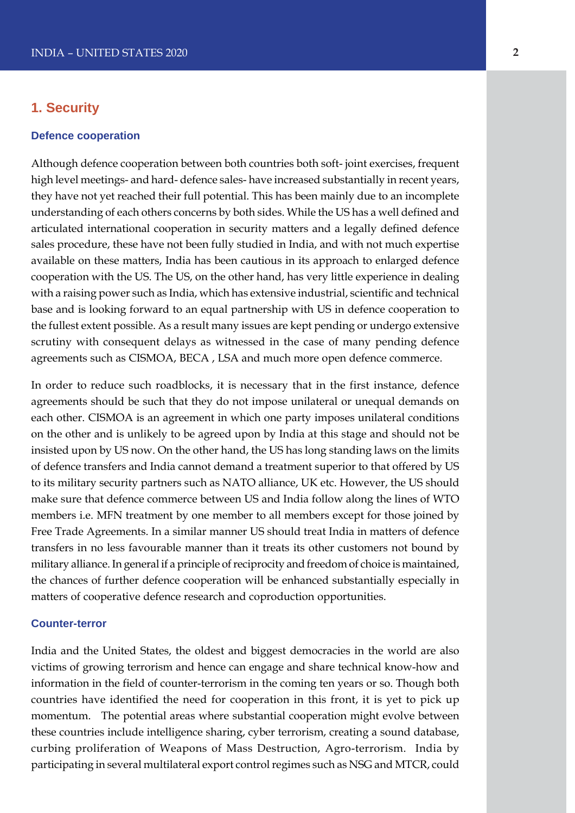### **1. Security**

#### **Defence cooperation**

Although defence cooperation between both countries both soft- joint exercises, frequent high level meetings- and hard- defence sales- have increased substantially in recent years, they have not yet reached their full potential. This has been mainly due to an incomplete understanding of each others concerns by both sides. While the US has a well defined and articulated international cooperation in security matters and a legally defined defence sales procedure, these have not been fully studied in India, and with not much expertise available on these matters, India has been cautious in its approach to enlarged defence cooperation with the US. The US, on the other hand, has very little experience in dealing with a raising power such as India, which has extensive industrial, scientific and technical base and is looking forward to an equal partnership with US in defence cooperation to the fullest extent possible. As a result many issues are kept pending or undergo extensive scrutiny with consequent delays as witnessed in the case of many pending defence agreements such as CISMOA, BECA , LSA and much more open defence commerce.

In order to reduce such roadblocks, it is necessary that in the first instance, defence agreements should be such that they do not impose unilateral or unequal demands on each other. CISMOA is an agreement in which one party imposes unilateral conditions on the other and is unlikely to be agreed upon by India at this stage and should not be insisted upon by US now. On the other hand, the US has long standing laws on the limits of defence transfers and India cannot demand a treatment superior to that offered by US to its military security partners such as NATO alliance, UK etc. However, the US should make sure that defence commerce between US and India follow along the lines of WTO members i.e. MFN treatment by one member to all members except for those joined by Free Trade Agreements. In a similar manner US should treat India in matters of defence transfers in no less favourable manner than it treats its other customers not bound by military alliance. In general if a principle of reciprocity and freedom of choice is maintained, the chances of further defence cooperation will be enhanced substantially especially in matters of cooperative defence research and coproduction opportunities.

#### **Counter-terror**

India and the United States, the oldest and biggest democracies in the world are also victims of growing terrorism and hence can engage and share technical know-how and information in the field of counter-terrorism in the coming ten years or so. Though both countries have identified the need for cooperation in this front, it is yet to pick up momentum. The potential areas where substantial cooperation might evolve between these countries include intelligence sharing, cyber terrorism, creating a sound database, curbing proliferation of Weapons of Mass Destruction, Agro-terrorism. India by participating in several multilateral export control regimes such as NSG and MTCR, could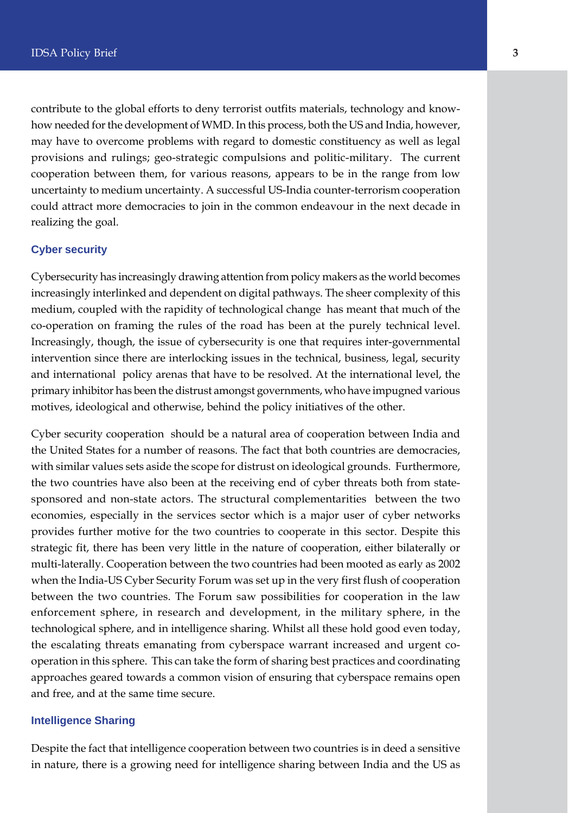contribute to the global efforts to deny terrorist outfits materials, technology and knowhow needed for the development of WMD. In this process, both the US and India, however, may have to overcome problems with regard to domestic constituency as well as legal provisions and rulings; geo-strategic compulsions and politic-military. The current cooperation between them, for various reasons, appears to be in the range from low uncertainty to medium uncertainty. A successful US-India counter-terrorism cooperation could attract more democracies to join in the common endeavour in the next decade in realizing the goal.

#### **Cyber security**

Cybersecurity has increasingly drawing attention from policy makers as the world becomes increasingly interlinked and dependent on digital pathways. The sheer complexity of this medium, coupled with the rapidity of technological change has meant that much of the co-operation on framing the rules of the road has been at the purely technical level. Increasingly, though, the issue of cybersecurity is one that requires inter-governmental intervention since there are interlocking issues in the technical, business, legal, security and international policy arenas that have to be resolved. At the international level, the primary inhibitor has been the distrust amongst governments, who have impugned various motives, ideological and otherwise, behind the policy initiatives of the other.

Cyber security cooperation should be a natural area of cooperation between India and the United States for a number of reasons. The fact that both countries are democracies, with similar values sets aside the scope for distrust on ideological grounds. Furthermore, the two countries have also been at the receiving end of cyber threats both from statesponsored and non-state actors. The structural complementarities between the two economies, especially in the services sector which is a major user of cyber networks provides further motive for the two countries to cooperate in this sector. Despite this strategic fit, there has been very little in the nature of cooperation, either bilaterally or multi-laterally. Cooperation between the two countries had been mooted as early as 2002 when the India-US Cyber Security Forum was set up in the very first flush of cooperation between the two countries. The Forum saw possibilities for cooperation in the law enforcement sphere, in research and development, in the military sphere, in the technological sphere, and in intelligence sharing. Whilst all these hold good even today, the escalating threats emanating from cyberspace warrant increased and urgent cooperation in this sphere. This can take the form of sharing best practices and coordinating approaches geared towards a common vision of ensuring that cyberspace remains open and free, and at the same time secure.

#### **Intelligence Sharing**

Despite the fact that intelligence cooperation between two countries is in deed a sensitive in nature, there is a growing need for intelligence sharing between India and the US as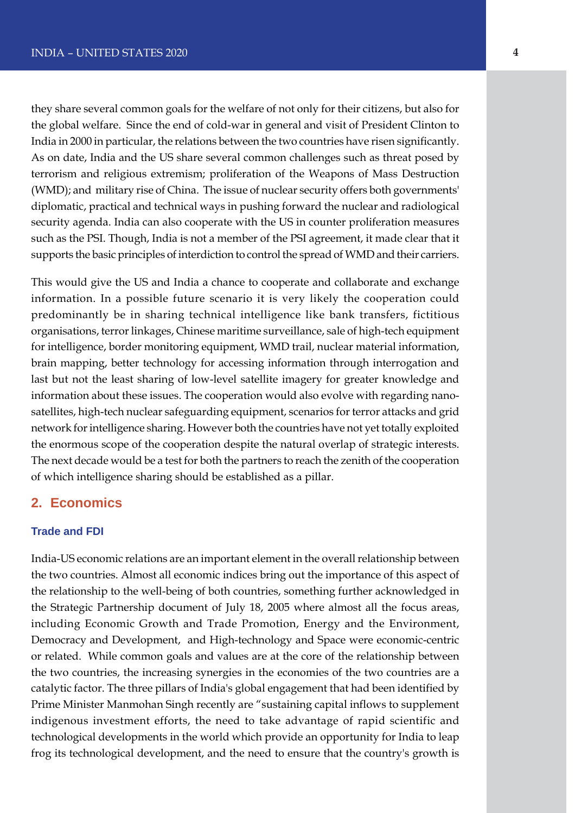they share several common goals for the welfare of not only for their citizens, but also for the global welfare. Since the end of cold-war in general and visit of President Clinton to India in 2000 in particular, the relations between the two countries have risen significantly. As on date, India and the US share several common challenges such as threat posed by terrorism and religious extremism; proliferation of the Weapons of Mass Destruction (WMD); and military rise of China. The issue of nuclear security offers both governments' diplomatic, practical and technical ways in pushing forward the nuclear and radiological security agenda. India can also cooperate with the US in counter proliferation measures such as the PSI. Though, India is not a member of the PSI agreement, it made clear that it supports the basic principles of interdiction to control the spread of WMD and their carriers.

This would give the US and India a chance to cooperate and collaborate and exchange information. In a possible future scenario it is very likely the cooperation could predominantly be in sharing technical intelligence like bank transfers, fictitious organisations, terror linkages, Chinese maritime surveillance, sale of high-tech equipment for intelligence, border monitoring equipment, WMD trail, nuclear material information, brain mapping, better technology for accessing information through interrogation and last but not the least sharing of low-level satellite imagery for greater knowledge and information about these issues. The cooperation would also evolve with regarding nanosatellites, high-tech nuclear safeguarding equipment, scenarios for terror attacks and grid network for intelligence sharing. However both the countries have not yet totally exploited the enormous scope of the cooperation despite the natural overlap of strategic interests. The next decade would be a test for both the partners to reach the zenith of the cooperation of which intelligence sharing should be established as a pillar.

### **2. Economics**

#### **Trade and FDI**

India-US economic relations are an important element in the overall relationship between the two countries. Almost all economic indices bring out the importance of this aspect of the relationship to the well-being of both countries, something further acknowledged in the Strategic Partnership document of July 18, 2005 where almost all the focus areas, including Economic Growth and Trade Promotion, Energy and the Environment, Democracy and Development, and High-technology and Space were economic-centric or related. While common goals and values are at the core of the relationship between the two countries, the increasing synergies in the economies of the two countries are a catalytic factor. The three pillars of India's global engagement that had been identified by Prime Minister Manmohan Singh recently are "sustaining capital inflows to supplement indigenous investment efforts, the need to take advantage of rapid scientific and technological developments in the world which provide an opportunity for India to leap frog its technological development, and the need to ensure that the country's growth is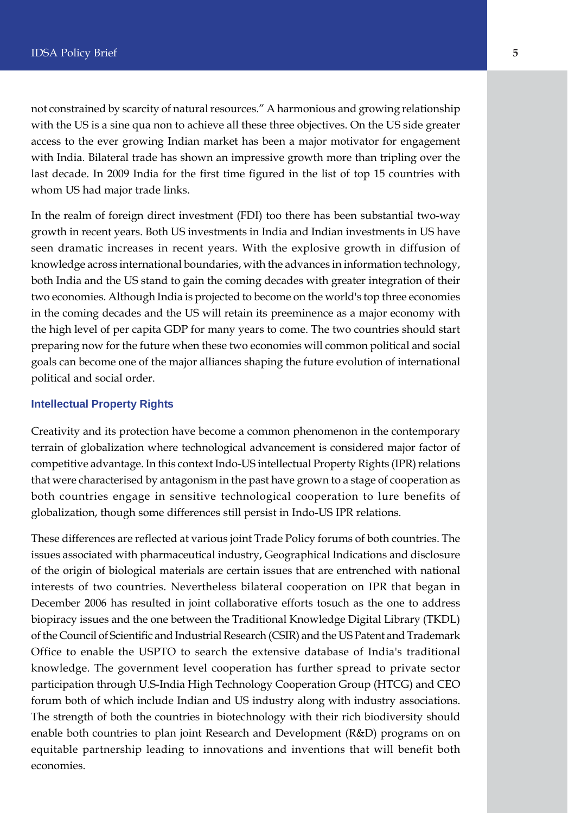not constrained by scarcity of natural resources." A harmonious and growing relationship with the US is a sine qua non to achieve all these three objectives. On the US side greater access to the ever growing Indian market has been a major motivator for engagement with India. Bilateral trade has shown an impressive growth more than tripling over the last decade. In 2009 India for the first time figured in the list of top 15 countries with whom US had major trade links.

In the realm of foreign direct investment (FDI) too there has been substantial two-way growth in recent years. Both US investments in India and Indian investments in US have seen dramatic increases in recent years. With the explosive growth in diffusion of knowledge across international boundaries, with the advances in information technology, both India and the US stand to gain the coming decades with greater integration of their two economies. Although India is projected to become on the world's top three economies in the coming decades and the US will retain its preeminence as a major economy with the high level of per capita GDP for many years to come. The two countries should start preparing now for the future when these two economies will common political and social goals can become one of the major alliances shaping the future evolution of international political and social order.

#### **Intellectual Property Rights**

Creativity and its protection have become a common phenomenon in the contemporary terrain of globalization where technological advancement is considered major factor of competitive advantage. In this context Indo-US intellectual Property Rights (IPR) relations that were characterised by antagonism in the past have grown to a stage of cooperation as both countries engage in sensitive technological cooperation to lure benefits of globalization, though some differences still persist in Indo-US IPR relations.

These differences are reflected at various joint Trade Policy forums of both countries. The issues associated with pharmaceutical industry, Geographical Indications and disclosure of the origin of biological materials are certain issues that are entrenched with national interests of two countries. Nevertheless bilateral cooperation on IPR that began in December 2006 has resulted in joint collaborative efforts tosuch as the one to address biopiracy issues and the one between the Traditional Knowledge Digital Library (TKDL) of the Council of Scientific and Industrial Research (CSIR) and the US Patent and Trademark Office to enable the USPTO to search the extensive database of India's traditional knowledge. The government level cooperation has further spread to private sector participation through U.S-India High Technology Cooperation Group (HTCG) and CEO forum both of which include Indian and US industry along with industry associations. The strength of both the countries in biotechnology with their rich biodiversity should enable both countries to plan joint Research and Development (R&D) programs on on equitable partnership leading to innovations and inventions that will benefit both economies.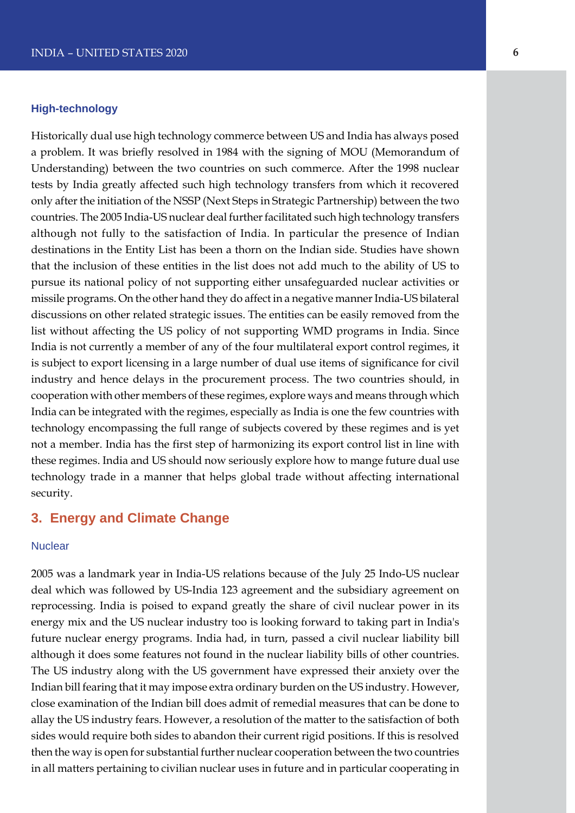#### **High-technology**

Historically dual use high technology commerce between US and India has always posed a problem. It was briefly resolved in 1984 with the signing of MOU (Memorandum of Understanding) between the two countries on such commerce. After the 1998 nuclear tests by India greatly affected such high technology transfers from which it recovered only after the initiation of the NSSP (Next Steps in Strategic Partnership) between the two countries. The 2005 India-US nuclear deal further facilitated such high technology transfers although not fully to the satisfaction of India. In particular the presence of Indian destinations in the Entity List has been a thorn on the Indian side. Studies have shown that the inclusion of these entities in the list does not add much to the ability of US to pursue its national policy of not supporting either unsafeguarded nuclear activities or missile programs. On the other hand they do affect in a negative manner India-US bilateral discussions on other related strategic issues. The entities can be easily removed from the list without affecting the US policy of not supporting WMD programs in India. Since India is not currently a member of any of the four multilateral export control regimes, it is subject to export licensing in a large number of dual use items of significance for civil industry and hence delays in the procurement process. The two countries should, in cooperation with other members of these regimes, explore ways and means through which India can be integrated with the regimes, especially as India is one the few countries with technology encompassing the full range of subjects covered by these regimes and is yet not a member. India has the first step of harmonizing its export control list in line with these regimes. India and US should now seriously explore how to mange future dual use technology trade in a manner that helps global trade without affecting international security.

# **3. Energy and Climate Change**

#### **Nuclear**

2005 was a landmark year in India-US relations because of the July 25 Indo-US nuclear deal which was followed by US-India 123 agreement and the subsidiary agreement on reprocessing. India is poised to expand greatly the share of civil nuclear power in its energy mix and the US nuclear industry too is looking forward to taking part in India's future nuclear energy programs. India had, in turn, passed a civil nuclear liability bill although it does some features not found in the nuclear liability bills of other countries. The US industry along with the US government have expressed their anxiety over the Indian bill fearing that it may impose extra ordinary burden on the US industry. However, close examination of the Indian bill does admit of remedial measures that can be done to allay the US industry fears. However, a resolution of the matter to the satisfaction of both sides would require both sides to abandon their current rigid positions. If this is resolved then the way is open for substantial further nuclear cooperation between the two countries in all matters pertaining to civilian nuclear uses in future and in particular cooperating in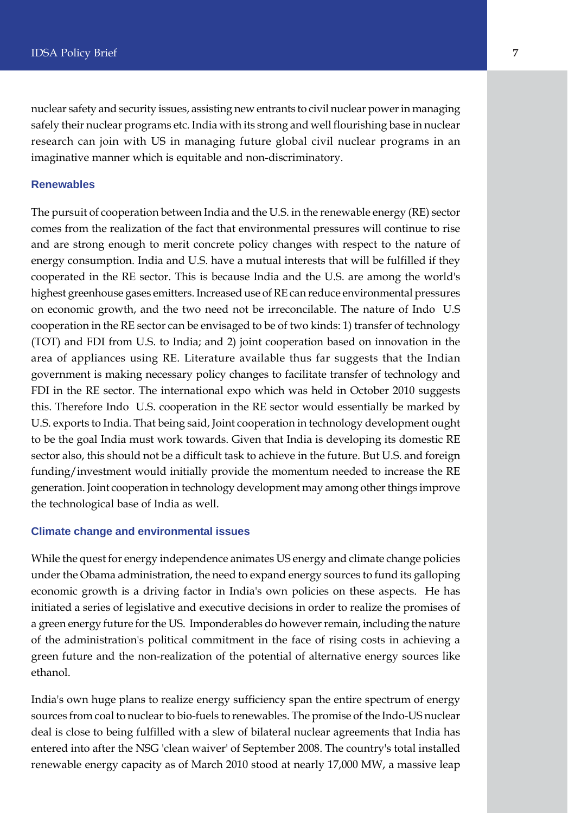nuclear safety and security issues, assisting new entrants to civil nuclear power in managing safely their nuclear programs etc. India with its strong and well flourishing base in nuclear research can join with US in managing future global civil nuclear programs in an imaginative manner which is equitable and non-discriminatory.

#### **Renewables**

The pursuit of cooperation between India and the U.S. in the renewable energy (RE) sector comes from the realization of the fact that environmental pressures will continue to rise and are strong enough to merit concrete policy changes with respect to the nature of energy consumption. India and U.S. have a mutual interests that will be fulfilled if they cooperated in the RE sector. This is because India and the U.S. are among the world's highest greenhouse gases emitters. Increased use of RE can reduce environmental pressures on economic growth, and the two need not be irreconcilable. The nature of Indo U.S cooperation in the RE sector can be envisaged to be of two kinds: 1) transfer of technology (TOT) and FDI from U.S. to India; and 2) joint cooperation based on innovation in the area of appliances using RE. Literature available thus far suggests that the Indian government is making necessary policy changes to facilitate transfer of technology and FDI in the RE sector. The international expo which was held in October 2010 suggests this. Therefore Indo U.S. cooperation in the RE sector would essentially be marked by U.S. exports to India. That being said, Joint cooperation in technology development ought to be the goal India must work towards. Given that India is developing its domestic RE sector also, this should not be a difficult task to achieve in the future. But U.S. and foreign funding/investment would initially provide the momentum needed to increase the RE generation. Joint cooperation in technology development may among other things improve the technological base of India as well.

#### **Climate change and environmental issues**

While the quest for energy independence animates US energy and climate change policies under the Obama administration, the need to expand energy sources to fund its galloping economic growth is a driving factor in India's own policies on these aspects. He has initiated a series of legislative and executive decisions in order to realize the promises of a green energy future for the US. Imponderables do however remain, including the nature of the administration's political commitment in the face of rising costs in achieving a green future and the non-realization of the potential of alternative energy sources like ethanol.

India's own huge plans to realize energy sufficiency span the entire spectrum of energy sources from coal to nuclear to bio-fuels to renewables. The promise of the Indo-US nuclear deal is close to being fulfilled with a slew of bilateral nuclear agreements that India has entered into after the NSG 'clean waiver' of September 2008. The country's total installed renewable energy capacity as of March 2010 stood at nearly 17,000 MW, a massive leap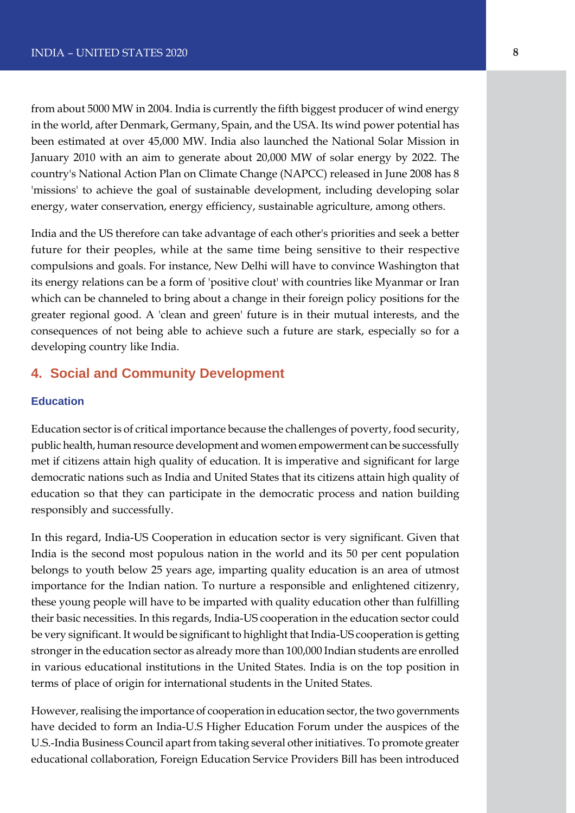from about 5000 MW in 2004. India is currently the fifth biggest producer of wind energy in the world, after Denmark, Germany, Spain, and the USA. Its wind power potential has been estimated at over 45,000 MW. India also launched the National Solar Mission in January 2010 with an aim to generate about 20,000 MW of solar energy by 2022. The country's National Action Plan on Climate Change (NAPCC) released in June 2008 has 8 'missions' to achieve the goal of sustainable development, including developing solar energy, water conservation, energy efficiency, sustainable agriculture, among others.

India and the US therefore can take advantage of each other's priorities and seek a better future for their peoples, while at the same time being sensitive to their respective compulsions and goals. For instance, New Delhi will have to convince Washington that its energy relations can be a form of 'positive clout' with countries like Myanmar or Iran which can be channeled to bring about a change in their foreign policy positions for the greater regional good. A 'clean and green' future is in their mutual interests, and the consequences of not being able to achieve such a future are stark, especially so for a developing country like India.

# **4. Social and Community Development**

#### **Education**

Education sector is of critical importance because the challenges of poverty, food security, public health, human resource development and women empowerment can be successfully met if citizens attain high quality of education. It is imperative and significant for large democratic nations such as India and United States that its citizens attain high quality of education so that they can participate in the democratic process and nation building responsibly and successfully.

In this regard, India-US Cooperation in education sector is very significant. Given that India is the second most populous nation in the world and its 50 per cent population belongs to youth below 25 years age, imparting quality education is an area of utmost importance for the Indian nation. To nurture a responsible and enlightened citizenry, these young people will have to be imparted with quality education other than fulfilling their basic necessities. In this regards, India-US cooperation in the education sector could be very significant. It would be significant to highlight that India-US cooperation is getting stronger in the education sector as already more than 100,000 Indian students are enrolled in various educational institutions in the United States. India is on the top position in terms of place of origin for international students in the United States.

However, realising the importance of cooperation in education sector, the two governments have decided to form an India-U.S Higher Education Forum under the auspices of the U.S.-India Business Council apart from taking several other initiatives. To promote greater educational collaboration, Foreign Education Service Providers Bill has been introduced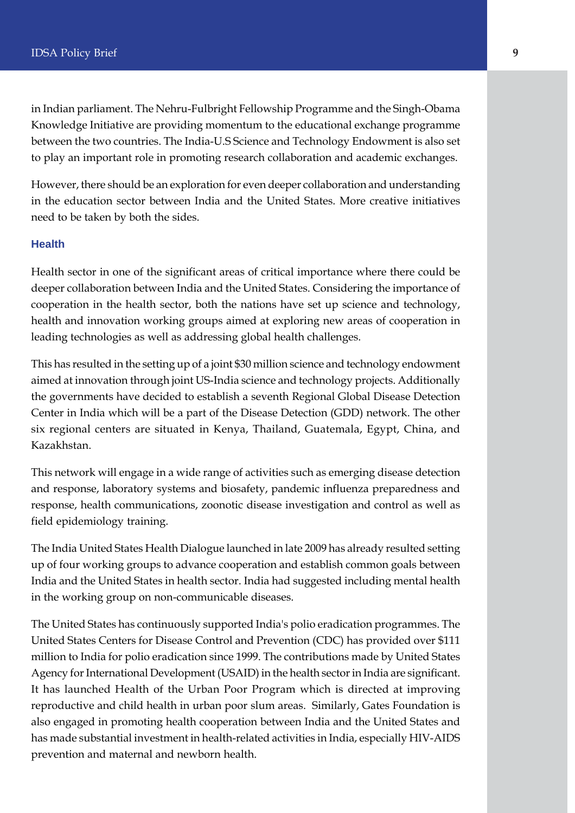in Indian parliament. The Nehru-Fulbright Fellowship Programme and the Singh-Obama Knowledge Initiative are providing momentum to the educational exchange programme between the two countries. The India-U.S Science and Technology Endowment is also set to play an important role in promoting research collaboration and academic exchanges.

However, there should be an exploration for even deeper collaboration and understanding in the education sector between India and the United States. More creative initiatives need to be taken by both the sides.

#### **Health**

Health sector in one of the significant areas of critical importance where there could be deeper collaboration between India and the United States. Considering the importance of cooperation in the health sector, both the nations have set up science and technology, health and innovation working groups aimed at exploring new areas of cooperation in leading technologies as well as addressing global health challenges.

This has resulted in the setting up of a joint \$30 million science and technology endowment aimed at innovation through joint US-India science and technology projects. Additionally the governments have decided to establish a seventh Regional Global Disease Detection Center in India which will be a part of the Disease Detection (GDD) network. The other six regional centers are situated in Kenya, Thailand, Guatemala, Egypt, China, and Kazakhstan.

This network will engage in a wide range of activities such as emerging disease detection and response, laboratory systems and biosafety, pandemic influenza preparedness and response, health communications, zoonotic disease investigation and control as well as field epidemiology training.

The India United States Health Dialogue launched in late 2009 has already resulted setting up of four working groups to advance cooperation and establish common goals between India and the United States in health sector. India had suggested including mental health in the working group on non-communicable diseases.

The United States has continuously supported India's polio eradication programmes. The United States Centers for Disease Control and Prevention (CDC) has provided over \$111 million to India for polio eradication since 1999. The contributions made by United States Agency for International Development (USAID) in the health sector in India are significant. It has launched Health of the Urban Poor Program which is directed at improving reproductive and child health in urban poor slum areas. Similarly, Gates Foundation is also engaged in promoting health cooperation between India and the United States and has made substantial investment in health-related activities in India, especially HIV-AIDS prevention and maternal and newborn health.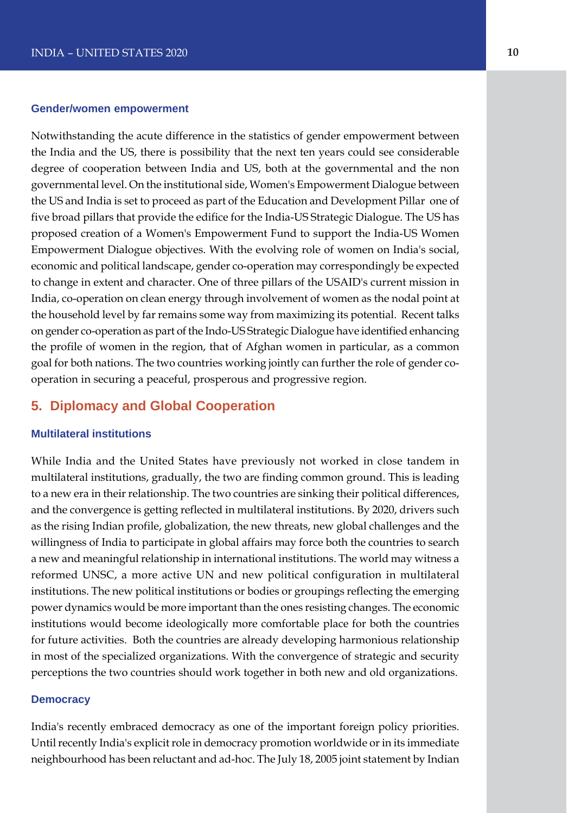#### **Gender/women empowerment**

Notwithstanding the acute difference in the statistics of gender empowerment between the India and the US, there is possibility that the next ten years could see considerable degree of cooperation between India and US, both at the governmental and the non governmental level. On the institutional side, Women's Empowerment Dialogue between the US and India is set to proceed as part of the Education and Development Pillar one of five broad pillars that provide the edifice for the India-US Strategic Dialogue. The US has proposed creation of a Women's Empowerment Fund to support the India-US Women Empowerment Dialogue objectives. With the evolving role of women on India's social, economic and political landscape, gender co-operation may correspondingly be expected to change in extent and character. One of three pillars of the USAID's current mission in India, co-operation on clean energy through involvement of women as the nodal point at the household level by far remains some way from maximizing its potential. Recent talks on gender co-operation as part of the Indo-US Strategic Dialogue have identified enhancing the profile of women in the region, that of Afghan women in particular, as a common goal for both nations. The two countries working jointly can further the role of gender cooperation in securing a peaceful, prosperous and progressive region.

# **5. Diplomacy and Global Cooperation**

#### **Multilateral institutions**

While India and the United States have previously not worked in close tandem in multilateral institutions, gradually, the two are finding common ground. This is leading to a new era in their relationship. The two countries are sinking their political differences, and the convergence is getting reflected in multilateral institutions. By 2020, drivers such as the rising Indian profile, globalization, the new threats, new global challenges and the willingness of India to participate in global affairs may force both the countries to search a new and meaningful relationship in international institutions. The world may witness a reformed UNSC, a more active UN and new political configuration in multilateral institutions. The new political institutions or bodies or groupings reflecting the emerging power dynamics would be more important than the ones resisting changes. The economic institutions would become ideologically more comfortable place for both the countries for future activities. Both the countries are already developing harmonious relationship in most of the specialized organizations. With the convergence of strategic and security perceptions the two countries should work together in both new and old organizations.

#### **Democracy**

India's recently embraced democracy as one of the important foreign policy priorities. Until recently India's explicit role in democracy promotion worldwide or in its immediate neighbourhood has been reluctant and ad-hoc. The July 18, 2005 joint statement by Indian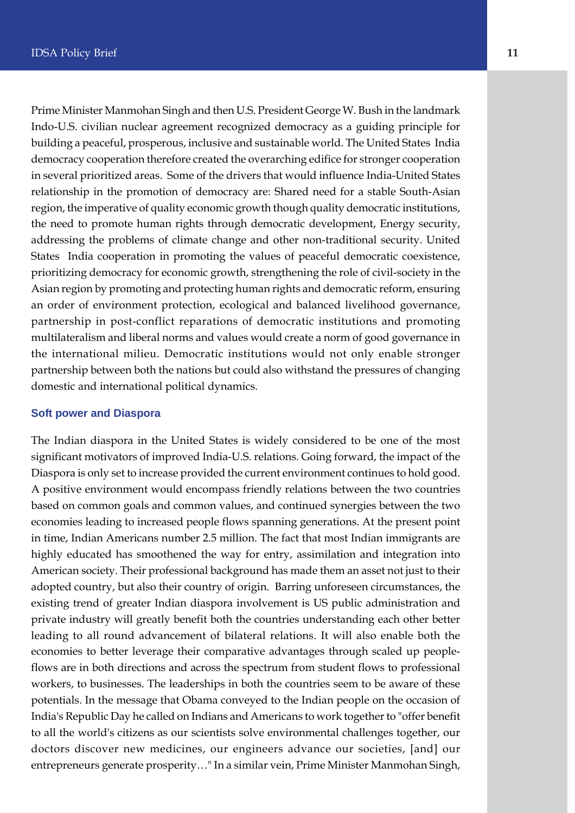Prime Minister Manmohan Singh and then U.S. President George W. Bush in the landmark Indo-U.S. civilian nuclear agreement recognized democracy as a guiding principle for building a peaceful, prosperous, inclusive and sustainable world. The United States India democracy cooperation therefore created the overarching edifice for stronger cooperation in several prioritized areas. Some of the drivers that would influence India-United States relationship in the promotion of democracy are: Shared need for a stable South-Asian region, the imperative of quality economic growth though quality democratic institutions, the need to promote human rights through democratic development, Energy security, addressing the problems of climate change and other non-traditional security. United States India cooperation in promoting the values of peaceful democratic coexistence, prioritizing democracy for economic growth, strengthening the role of civil-society in the Asian region by promoting and protecting human rights and democratic reform, ensuring an order of environment protection, ecological and balanced livelihood governance, partnership in post-conflict reparations of democratic institutions and promoting multilateralism and liberal norms and values would create a norm of good governance in the international milieu. Democratic institutions would not only enable stronger partnership between both the nations but could also withstand the pressures of changing domestic and international political dynamics.

#### **Soft power and Diaspora**

The Indian diaspora in the United States is widely considered to be one of the most significant motivators of improved India-U.S. relations. Going forward, the impact of the Diaspora is only set to increase provided the current environment continues to hold good. A positive environment would encompass friendly relations between the two countries based on common goals and common values, and continued synergies between the two economies leading to increased people flows spanning generations. At the present point in time, Indian Americans number 2.5 million. The fact that most Indian immigrants are highly educated has smoothened the way for entry, assimilation and integration into American society. Their professional background has made them an asset not just to their adopted country, but also their country of origin. Barring unforeseen circumstances, the existing trend of greater Indian diaspora involvement is US public administration and private industry will greatly benefit both the countries understanding each other better leading to all round advancement of bilateral relations. It will also enable both the economies to better leverage their comparative advantages through scaled up peopleflows are in both directions and across the spectrum from student flows to professional workers, to businesses. The leaderships in both the countries seem to be aware of these potentials. In the message that Obama conveyed to the Indian people on the occasion of India's Republic Day he called on Indians and Americans to work together to "offer benefit to all the world's citizens as our scientists solve environmental challenges together, our doctors discover new medicines, our engineers advance our societies, [and] our entrepreneurs generate prosperity…" In a similar vein, Prime Minister Manmohan Singh,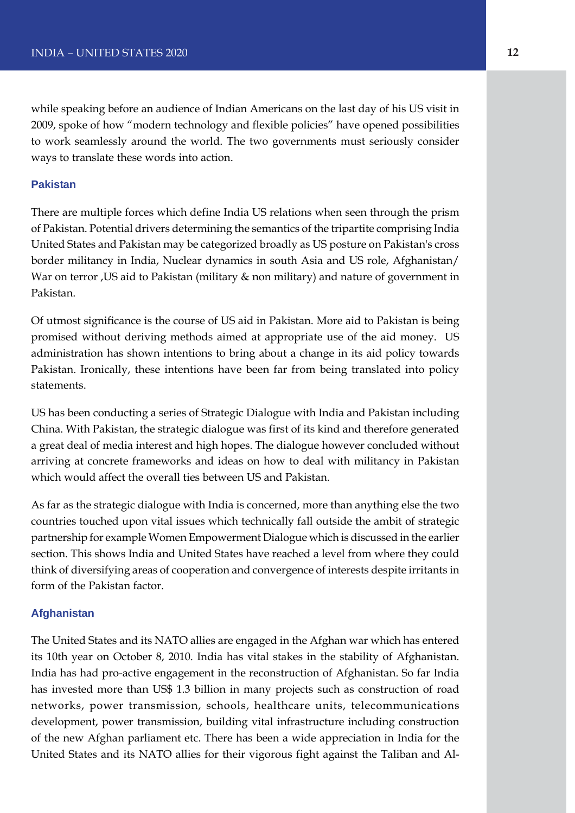while speaking before an audience of Indian Americans on the last day of his US visit in 2009, spoke of how "modern technology and flexible policies" have opened possibilities to work seamlessly around the world. The two governments must seriously consider ways to translate these words into action.

#### **Pakistan**

There are multiple forces which define India US relations when seen through the prism of Pakistan. Potential drivers determining the semantics of the tripartite comprising India United States and Pakistan may be categorized broadly as US posture on Pakistan's cross border militancy in India, Nuclear dynamics in south Asia and US role, Afghanistan/ War on terror ,US aid to Pakistan (military & non military) and nature of government in Pakistan.

Of utmost significance is the course of US aid in Pakistan. More aid to Pakistan is being promised without deriving methods aimed at appropriate use of the aid money. US administration has shown intentions to bring about a change in its aid policy towards Pakistan. Ironically, these intentions have been far from being translated into policy statements.

US has been conducting a series of Strategic Dialogue with India and Pakistan including China. With Pakistan, the strategic dialogue was first of its kind and therefore generated a great deal of media interest and high hopes. The dialogue however concluded without arriving at concrete frameworks and ideas on how to deal with militancy in Pakistan which would affect the overall ties between US and Pakistan.

As far as the strategic dialogue with India is concerned, more than anything else the two countries touched upon vital issues which technically fall outside the ambit of strategic partnership for example Women Empowerment Dialogue which is discussed in the earlier section. This shows India and United States have reached a level from where they could think of diversifying areas of cooperation and convergence of interests despite irritants in form of the Pakistan factor.

#### **Afghanistan**

The United States and its NATO allies are engaged in the Afghan war which has entered its 10th year on October 8, 2010. India has vital stakes in the stability of Afghanistan. India has had pro-active engagement in the reconstruction of Afghanistan. So far India has invested more than US\$ 1.3 billion in many projects such as construction of road networks, power transmission, schools, healthcare units, telecommunications development, power transmission, building vital infrastructure including construction of the new Afghan parliament etc. There has been a wide appreciation in India for the United States and its NATO allies for their vigorous fight against the Taliban and Al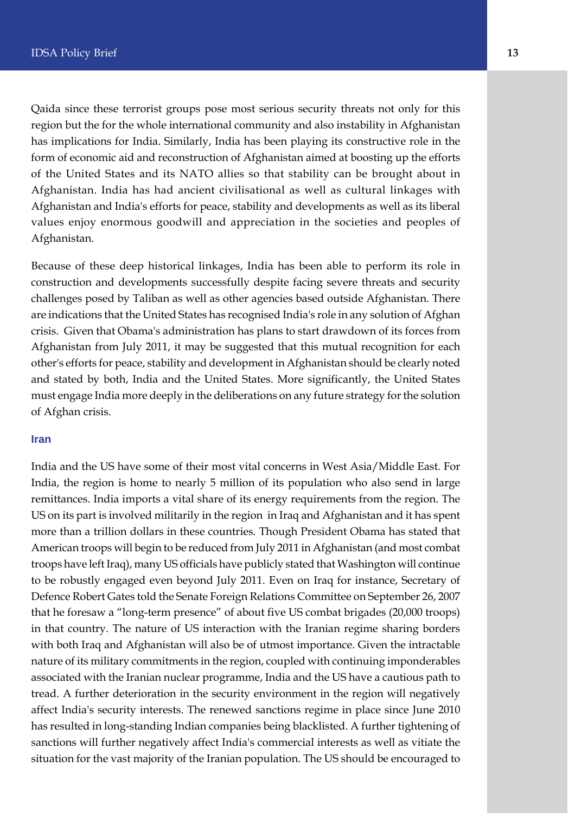Qaida since these terrorist groups pose most serious security threats not only for this region but the for the whole international community and also instability in Afghanistan has implications for India. Similarly, India has been playing its constructive role in the form of economic aid and reconstruction of Afghanistan aimed at boosting up the efforts of the United States and its NATO allies so that stability can be brought about in Afghanistan. India has had ancient civilisational as well as cultural linkages with Afghanistan and India's efforts for peace, stability and developments as well as its liberal values enjoy enormous goodwill and appreciation in the societies and peoples of Afghanistan.

Because of these deep historical linkages, India has been able to perform its role in construction and developments successfully despite facing severe threats and security challenges posed by Taliban as well as other agencies based outside Afghanistan. There are indications that the United States has recognised India's role in any solution of Afghan crisis. Given that Obama's administration has plans to start drawdown of its forces from Afghanistan from July 2011, it may be suggested that this mutual recognition for each other's efforts for peace, stability and development in Afghanistan should be clearly noted and stated by both, India and the United States. More significantly, the United States must engage India more deeply in the deliberations on any future strategy for the solution of Afghan crisis.

#### **Iran**

India and the US have some of their most vital concerns in West Asia/Middle East. For India, the region is home to nearly 5 million of its population who also send in large remittances. India imports a vital share of its energy requirements from the region. The US on its part is involved militarily in the region in Iraq and Afghanistan and it has spent more than a trillion dollars in these countries. Though President Obama has stated that American troops will begin to be reduced from July 2011 in Afghanistan (and most combat troops have left Iraq), many US officials have publicly stated that Washington will continue to be robustly engaged even beyond July 2011. Even on Iraq for instance, Secretary of Defence Robert Gates told the Senate Foreign Relations Committee on September 26, 2007 that he foresaw a "long-term presence" of about five US combat brigades (20,000 troops) in that country. The nature of US interaction with the Iranian regime sharing borders with both Iraq and Afghanistan will also be of utmost importance. Given the intractable nature of its military commitments in the region, coupled with continuing imponderables associated with the Iranian nuclear programme, India and the US have a cautious path to tread. A further deterioration in the security environment in the region will negatively affect India's security interests. The renewed sanctions regime in place since June 2010 has resulted in long-standing Indian companies being blacklisted. A further tightening of sanctions will further negatively affect India's commercial interests as well as vitiate the situation for the vast majority of the Iranian population. The US should be encouraged to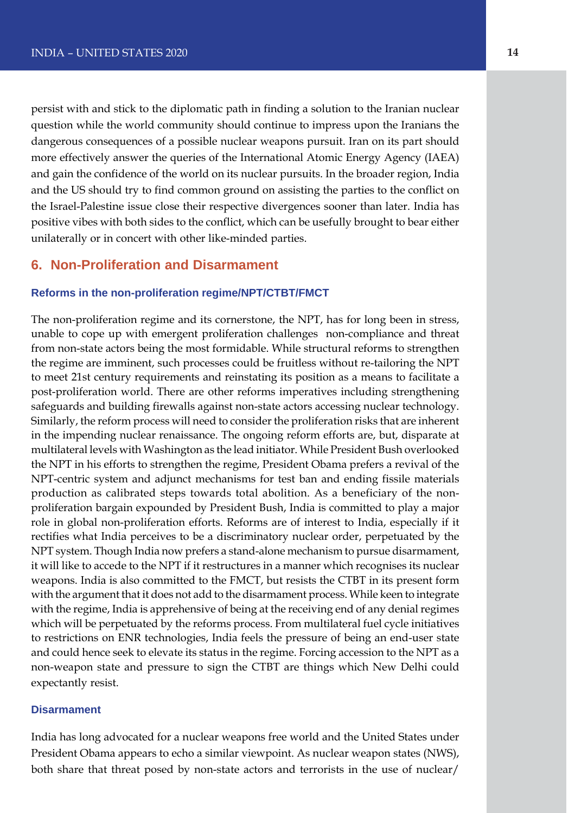persist with and stick to the diplomatic path in finding a solution to the Iranian nuclear question while the world community should continue to impress upon the Iranians the dangerous consequences of a possible nuclear weapons pursuit. Iran on its part should more effectively answer the queries of the International Atomic Energy Agency (IAEA) and gain the confidence of the world on its nuclear pursuits. In the broader region, India and the US should try to find common ground on assisting the parties to the conflict on the Israel-Palestine issue close their respective divergences sooner than later. India has positive vibes with both sides to the conflict, which can be usefully brought to bear either unilaterally or in concert with other like-minded parties.

## **6. Non-Proliferation and Disarmament**

#### **Reforms in the non-proliferation regime/NPT/CTBT/FMCT**

The non-proliferation regime and its cornerstone, the NPT, has for long been in stress, unable to cope up with emergent proliferation challenges non-compliance and threat from non-state actors being the most formidable. While structural reforms to strengthen the regime are imminent, such processes could be fruitless without re-tailoring the NPT to meet 21st century requirements and reinstating its position as a means to facilitate a post-proliferation world. There are other reforms imperatives including strengthening safeguards and building firewalls against non-state actors accessing nuclear technology. Similarly, the reform process will need to consider the proliferation risks that are inherent in the impending nuclear renaissance. The ongoing reform efforts are, but, disparate at multilateral levels with Washington as the lead initiator. While President Bush overlooked the NPT in his efforts to strengthen the regime, President Obama prefers a revival of the NPT-centric system and adjunct mechanisms for test ban and ending fissile materials production as calibrated steps towards total abolition. As a beneficiary of the nonproliferation bargain expounded by President Bush, India is committed to play a major role in global non-proliferation efforts. Reforms are of interest to India, especially if it rectifies what India perceives to be a discriminatory nuclear order, perpetuated by the NPT system. Though India now prefers a stand-alone mechanism to pursue disarmament, it will like to accede to the NPT if it restructures in a manner which recognises its nuclear weapons. India is also committed to the FMCT, but resists the CTBT in its present form with the argument that it does not add to the disarmament process. While keen to integrate with the regime, India is apprehensive of being at the receiving end of any denial regimes which will be perpetuated by the reforms process. From multilateral fuel cycle initiatives to restrictions on ENR technologies, India feels the pressure of being an end-user state and could hence seek to elevate its status in the regime. Forcing accession to the NPT as a non-weapon state and pressure to sign the CTBT are things which New Delhi could expectantly resist.

#### **Disarmament**

India has long advocated for a nuclear weapons free world and the United States under President Obama appears to echo a similar viewpoint. As nuclear weapon states (NWS), both share that threat posed by non-state actors and terrorists in the use of nuclear/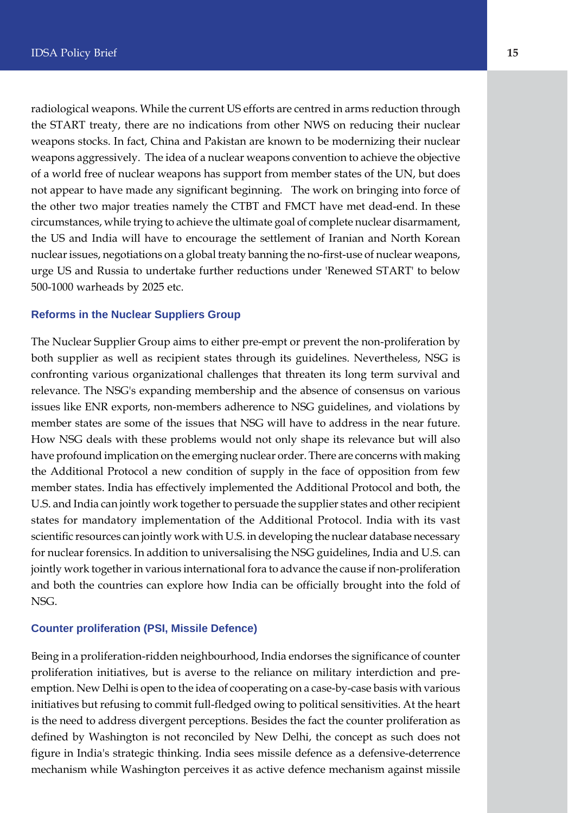radiological weapons. While the current US efforts are centred in arms reduction through the START treaty, there are no indications from other NWS on reducing their nuclear weapons stocks. In fact, China and Pakistan are known to be modernizing their nuclear weapons aggressively. The idea of a nuclear weapons convention to achieve the objective of a world free of nuclear weapons has support from member states of the UN, but does not appear to have made any significant beginning. The work on bringing into force of the other two major treaties namely the CTBT and FMCT have met dead-end. In these circumstances, while trying to achieve the ultimate goal of complete nuclear disarmament, the US and India will have to encourage the settlement of Iranian and North Korean nuclear issues, negotiations on a global treaty banning the no-first-use of nuclear weapons, urge US and Russia to undertake further reductions under 'Renewed START' to below 500-1000 warheads by 2025 etc.

#### **Reforms in the Nuclear Suppliers Group**

The Nuclear Supplier Group aims to either pre-empt or prevent the non-proliferation by both supplier as well as recipient states through its guidelines. Nevertheless, NSG is confronting various organizational challenges that threaten its long term survival and relevance. The NSG's expanding membership and the absence of consensus on various issues like ENR exports, non-members adherence to NSG guidelines, and violations by member states are some of the issues that NSG will have to address in the near future. How NSG deals with these problems would not only shape its relevance but will also have profound implication on the emerging nuclear order. There are concerns with making the Additional Protocol a new condition of supply in the face of opposition from few member states. India has effectively implemented the Additional Protocol and both, the U.S. and India can jointly work together to persuade the supplier states and other recipient states for mandatory implementation of the Additional Protocol. India with its vast scientific resources can jointly work with U.S. in developing the nuclear database necessary for nuclear forensics. In addition to universalising the NSG guidelines, India and U.S. can jointly work together in various international fora to advance the cause if non-proliferation and both the countries can explore how India can be officially brought into the fold of NSG.

#### **Counter proliferation (PSI, Missile Defence)**

Being in a proliferation-ridden neighbourhood, India endorses the significance of counter proliferation initiatives, but is averse to the reliance on military interdiction and preemption. New Delhi is open to the idea of cooperating on a case-by-case basis with various initiatives but refusing to commit full-fledged owing to political sensitivities. At the heart is the need to address divergent perceptions. Besides the fact the counter proliferation as defined by Washington is not reconciled by New Delhi, the concept as such does not figure in India's strategic thinking. India sees missile defence as a defensive-deterrence mechanism while Washington perceives it as active defence mechanism against missile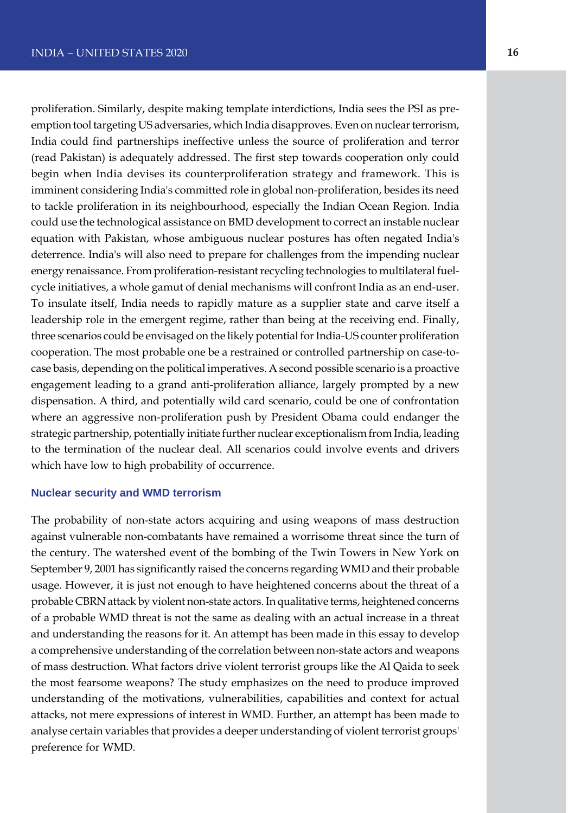proliferation. Similarly, despite making template interdictions, India sees the PSI as preemption tool targeting US adversaries, which India disapproves. Even on nuclear terrorism, India could find partnerships ineffective unless the source of proliferation and terror (read Pakistan) is adequately addressed. The first step towards cooperation only could begin when India devises its counterproliferation strategy and framework. This is imminent considering India's committed role in global non-proliferation, besides its need to tackle proliferation in its neighbourhood, especially the Indian Ocean Region. India could use the technological assistance on BMD development to correct an instable nuclear equation with Pakistan, whose ambiguous nuclear postures has often negated India's deterrence. India's will also need to prepare for challenges from the impending nuclear energy renaissance. From proliferation-resistant recycling technologies to multilateral fuelcycle initiatives, a whole gamut of denial mechanisms will confront India as an end-user. To insulate itself, India needs to rapidly mature as a supplier state and carve itself a leadership role in the emergent regime, rather than being at the receiving end. Finally, three scenarios could be envisaged on the likely potential for India-US counter proliferation cooperation. The most probable one be a restrained or controlled partnership on case-tocase basis, depending on the political imperatives. A second possible scenario is a proactive engagement leading to a grand anti-proliferation alliance, largely prompted by a new dispensation. A third, and potentially wild card scenario, could be one of confrontation where an aggressive non-proliferation push by President Obama could endanger the strategic partnership, potentially initiate further nuclear exceptionalism from India, leading to the termination of the nuclear deal. All scenarios could involve events and drivers which have low to high probability of occurrence.

#### **Nuclear security and WMD terrorism**

The probability of non-state actors acquiring and using weapons of mass destruction against vulnerable non-combatants have remained a worrisome threat since the turn of the century. The watershed event of the bombing of the Twin Towers in New York on September 9, 2001 has significantly raised the concerns regarding WMD and their probable usage. However, it is just not enough to have heightened concerns about the threat of a probable CBRN attack by violent non-state actors. In qualitative terms, heightened concerns of a probable WMD threat is not the same as dealing with an actual increase in a threat and understanding the reasons for it. An attempt has been made in this essay to develop a comprehensive understanding of the correlation between non-state actors and weapons of mass destruction. What factors drive violent terrorist groups like the Al Qaida to seek the most fearsome weapons? The study emphasizes on the need to produce improved understanding of the motivations, vulnerabilities, capabilities and context for actual attacks, not mere expressions of interest in WMD. Further, an attempt has been made to analyse certain variables that provides a deeper understanding of violent terrorist groups' preference for WMD.